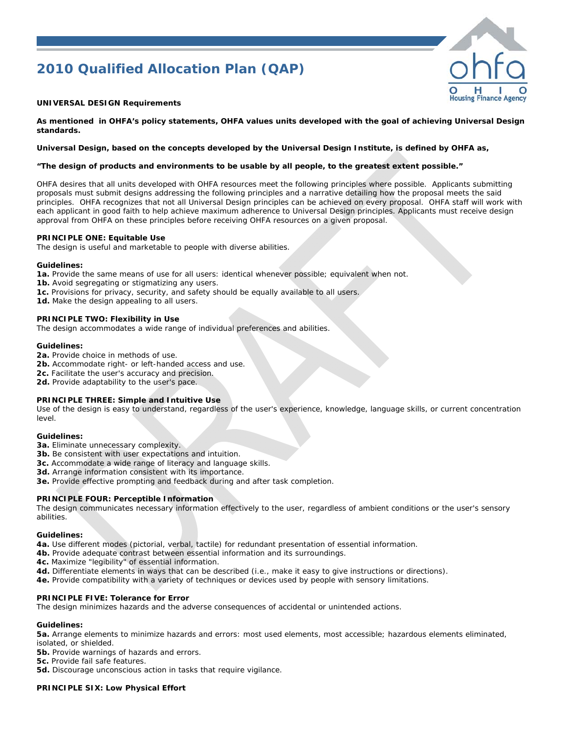# *2010 Qualified Allocation Plan (QAP)*



#### **UNIVERSAL DESIGN Requirements**

**As mentioned in OHFA's policy statements, OHFA values units developed with the goal of achieving Universal Design standards.** 

#### **Universal Design, based on the concepts developed by the Universal Design Institute, is defined by OHFA as,**

#### **"The design of products and environments to be usable by all people, to the greatest extent possible."**

OHFA desires that all units developed with OHFA resources meet the following principles where possible. Applicants submitting proposals must submit designs addressing the following principles and a narrative detailing how the proposal meets the said principles. OHFA recognizes that not all Universal Design principles can be achieved on every proposal. OHFA staff will work with each applicant in good faith to help achieve maximum adherence to Universal Design principles. Applicants must receive design approval from OHFA on these principles before receiving OHFA resources on a given proposal.

#### **PRINCIPLE ONE: Equitable Use**

The design is useful and marketable to people with diverse abilities.

#### **Guidelines:**

**1a.** Provide the same means of use for all users: identical whenever possible; equivalent when not.

- **1b.** Avoid segregating or stigmatizing any users.
- **1c.** Provisions for privacy, security, and safety should be equally available to all users.

## **PRINCIPLE TWO: Flexibility in Use**

**1d.** Make the design appealing to all users.

The design accommodates a wide range of individual preferences and abilities.

#### **Guidelines:**

- **2a.** Provide choice in methods of use.
- **2b.** Accommodate right- or left-handed access and use.
- **2c.** Facilitate the user's accuracy and precision.
- 2d. Provide adaptability to the user's pace.

#### **PRINCIPLE THREE: Simple and Intuitive Use**

Use of the design is easy to understand, regardless of the user's experience, knowledge, language skills, or current concentration level.

#### **Guidelines:**

- **3a.** Eliminate unnecessary complexity.
- **3b.** Be consistent with user expectations and intuition.
- **3c.** Accommodate a wide range of literacy and language skills.
- **3d.** Arrange information consistent with its importance.
- **3e.** Provide effective prompting and feedback during and after task completion.

#### **PRINCIPLE FOUR: Perceptible Information**

The design communicates necessary information effectively to the user, regardless of ambient conditions or the user's sensory abilities.

#### **Guidelines:**

**4a.** Use different modes (pictorial, verbal, tactile) for redundant presentation of essential information.

- **4b.** Provide adequate contrast between essential information and its surroundings.
- **4c.** Maximize "legibility" of essential information.
- **4d.** Differentiate elements in ways that can be described (i.e., make it easy to give instructions or directions).
- **4e.** Provide compatibility with a variety of techniques or devices used by people with sensory limitations.

#### **PRINCIPLE FIVE: Tolerance for Error**

The design minimizes hazards and the adverse consequences of accidental or unintended actions.

#### **Guidelines:**

**5a.** Arrange elements to minimize hazards and errors: most used elements, most accessible; hazardous elements eliminated, isolated, or shielded.

**5b.** Provide warnings of hazards and errors.

**5c.** Provide fail safe features.

**5d.** Discourage unconscious action in tasks that require vigilance.

#### **PRINCIPLE SIX: Low Physical Effort**